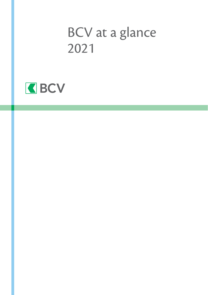# BCV at a glance 2021

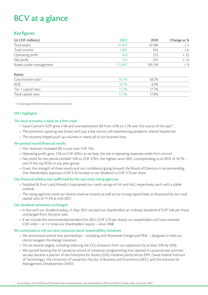## BCV at a glance

## Key figures

| (in CHF millions)       | 2021   | 2020   | Change as % |
|-------------------------|--------|--------|-------------|
| Total assets            | 55952  | 53186  | $+5$        |
| Total income            | 1005   | 945    | + 6         |
| Operating profit        | 429    | 373    | + 15        |
| Net profit              | 379    | 331    | + 14        |
| Assets under management | 112887 | 103159 | $+9$        |

### Ratios

| Cost/income ratio <sup>1</sup> | 56.7% | 58.7% |  |
|--------------------------------|-------|-------|--|
| <b>ROE</b>                     | 10.7% | 9.3%  |  |
| Tier 1 capital ratio           | 172%  | 17.7% |  |
| Total capital ratio            | 173%  | 17.8% |  |

1 Excluding goodwill amortization and write-downs

## 2021 highlights

### The local economy is back on a firm track

- Vaud Canton's GDP grew 4.5% and unemployment fell from 4.9% to 3.7% over the course of the year.<sup>2</sup>
- The economic upswing was broad, with just a few sectors still experiencing pandemic-related headwinds.
- The recovery helped push up volumes in nearly all of our business lines.

### We posted record financial results

- Our revenues increased 6% to just over CHF 1bn.
- Operating profit grew 15% to CHF 429m, as we kept the rise in operating expenses under firm control.
- Net profit for the period climbed 14% to CHF 379m, the highest since 2007, corresponding to an ROE of 10.7% one of the top ROEs in our peer group.
- Given the strength of these results and our confidence going forward, the Board of Directors is recommending that shareholders approve a CHF 0.10 increase in our dividend to CHF 3.70 per share.

### Our financial solidity was reaffirmed by the two main rating agencies

- Standard & Poor's and Moody's maintained our credit ratings of AA and Aa2, respectively, each with a stable outlook.
- The rating agencies cited our diverse revenue streams as well as our strong capital base, as illustrated by our total capital ratio of 17.3% at end-2021.

### Our dividend remained unchanged

- In line with our dividend policy, in May 2021 we paid our shareholders an ordinary dividend of CHF 3.60 per share, unchanged from the prior year.
- If we include the recommended dividend for 2021 (CHF 3.70 per share), our shareholders will have received CHF 4.4bn – or 1.2 times our shareholders' equity – since 2008.

### We continued to roll out new corporate social responsibility initiatives

- We announced several new partnerships including with Romande Energie and PEIK designed to help our clients navigate the energy transition.
- We set several targets, including reducing the CO<sub>2</sub> emissions from our operations by at least 35% by 2030.
- We started backing the 42 Lausanne school of computer programming that opened in Lausanne last summer; we also became a partner of the Enterprise for Society (E4S) initiative jointly led by EPFL (Swiss Federal Institute of Technology), the University of Lausanne's Faculty of Business and Economics (HEC), and the Institute for Management Development (IMD).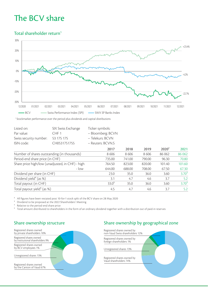## The BCV share

## Total shareholder return1 *Total shareholder return1*



1 Stockmarket performance over the period plus dividends and capital distributions

| Listed on:<br>Par value:<br>Swiss security number:<br>ISIN code: | SIX Swiss Exchange<br>CHF <sub>1</sub><br>53 175 175<br>CH0531751755 | Ticker symbols:<br>- Bloomberg: BCVN<br>- Telekurs: BCVN<br>- Reuters: BCVN.S |        |        |          |            |
|------------------------------------------------------------------|----------------------------------------------------------------------|-------------------------------------------------------------------------------|--------|--------|----------|------------|
|                                                                  |                                                                      | 2017                                                                          | 2018   | 2019   | $2020^2$ | 2021       |
| Number of shares outstanding (in thousands)                      |                                                                      | 8606                                                                          | 8606   | 8606   | 86 062   | 86 062     |
| Period-end share price (in CHF)                                  |                                                                      | 735.00                                                                        | 741.00 | 790.00 | 96.30    | 70.80      |
| Share price high/low (unadjusted, in CHF) - high                 |                                                                      | 764.50                                                                        | 823.00 | 820.00 | 101.40   | 101.60     |
|                                                                  | $-$ low                                                              | 644.00                                                                        | 688.00 | 708.00 | 67.50    | 67.30      |
| Dividend per share (in CHF)                                      |                                                                      | 23.0                                                                          | 35.0   | 36.0   | 3.60     | $3.70^{3}$ |
| Dividend yield <sup>4</sup> (as %)                               |                                                                      | 3.1                                                                           | 4.7    | 4.6    | 3.7      | 5.2        |
| Total payout (in CHF)                                            |                                                                      | $33.0^{5}$                                                                    | 35.0   | 36.0   | 3.60     | $3.70^{3}$ |
| Total payout yield <sup>4</sup> (as %)                           |                                                                      | 4.5                                                                           | 4.7    | 4.6    | 3.7      | 5.2        |

<sup>2</sup> All figures have been restated post 10-for-1 stock split of the BCV share on 28 May 2020

<sup>3</sup> Dividend to be proposed at the 2022 Shareholders' Meeting

⁴ Relative to the period-end share price

⁵ Total amount distributed to shareholders in the form of an ordinary dividend together with a distribution out of paid-in reserves

## *Share ownership structure* Share ownership structure



## *Share ownership by geographical zone* Share ownership by geographical zone

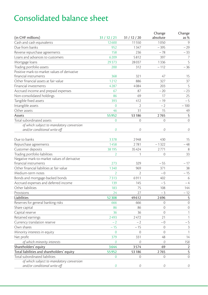## Consolidated balance sheet

| (in CHF millions)                            | 31/12/21                 | 31/12/20       | Change<br>absolute | Change<br>as % |
|----------------------------------------------|--------------------------|----------------|--------------------|----------------|
| Cash and cash equivalents                    | 12600                    | 11550          | 1050               | $\circ$        |
| Due from banks                               | 952                      | 1347           | $-395$             | $-29$          |
| Reverse repurchase agreements                | 158                      | 236            | $-78$              | $-33$          |
| Loans and advances to customers              | 6209                     | 5812           | 397                | 7              |
| Mortgage loans                               | 29373                    | 28037          | 1336               | 5              |
| Trading portfolio assets                     | 200                      | 312            | $-112$             | $-36$          |
| Positive mark-to-market values of derivative |                          |                |                    |                |
| financial instruments                        | 368                      | 321            | 47                 | 15             |
| Other financial assets at fair value         | 1212                     | 886            | 327                | 37             |
| Financial investments                        | 4287                     | 4084           | 203                | 5              |
| Accrued income and prepaid expenses          | 67                       | 87             | $-20$              | $-23$          |
| Non-consolidated holdings                    | 86                       | 69             | 17                 | 25             |
| Tangible fixed assets                        | 393                      | 412            | $-19$              | $-5$           |
| Intangible assets                            | $\Omega$                 | $\mathfrak{D}$ | $-2$               | $-100$         |
| Other assets                                 | 46                       | 31             | 15                 | 49             |
| Assets                                       | 55952                    | 53 186         | 2765               | $\mathsf S$    |
| Total subordinated assets                    | $\Omega$                 | $\Omega$       | $\Omega$           | $\mathbf 0$    |
| of which subject to mandatory conversion     |                          |                |                    |                |
| and/or conditional write-off                 | 0                        | 0              | $\mathcal{O}$      | 0              |
|                                              |                          |                |                    |                |
| Due to banks                                 | 3378                     | 2948           | 430                | 15             |
| Repurchase agreements                        | 1458                     | 2781           | $-1322$            | $-48$          |
| Customer deposits                            | 38 195                   | 35424          | 2771               | 8              |
| Trading portfolio liabilities                | $\overline{2}$           | $\mathbf{1}$   | $\Omega$           | 33             |
| Negative mark-to-market values of derivative |                          |                |                    |                |
| financial instruments                        | 273                      | 329            | $-55$              | $-17$          |
| Other financial liabilities at fair value    | 1340                     | 969            | 371                | 38             |
| Medium-term notes                            | $\overline{\mathcal{L}}$ | $\mathfrak{D}$ | $-0$               | $-15$          |
| Bonds and mortgage-backed bonds              | 7313                     | 6911           | 402                | 6              |
| Accrued expenses and deferred income         | 139                      | 145            | $-5$               | $-4$           |
| Other liabilities                            | 183                      | 75             | 108                | 144            |
| Provisions                                   | 24                       | 27             | $-3$               | $-12$          |
| Liabilities                                  | 52 308                   | 49612          | 2696               | 5              |
| Reserves for general banking risks           | 666                      | 666            | $\Omega$           | $\overline{0}$ |
| Share capital                                | 86                       | 86             | $\Omega$           | $\mathbf 0$    |
| Capital reserve                              | 36                       | 36             | $\Omega$           | $\mathbf{1}$   |
| Retained earnings                            | 2493                     | 2472           | 21                 | $\mathbf{1}$   |
| Currency translation reserve                 | $-2$                     | $-2$           | $-0$               | $-5$           |
| Own shares                                   | $-15$                    | $-15$          | $\overline{0}$     | 3              |
| Minority interests in equity                 | $\mathbf 0$              | $\Omega$       | $\Omega$           | $\mathbf{1}$   |
| Net profit                                   | 379                      | 331            | 48                 | 14             |
| of which minority interests                  | 0                        | 0              | $\mathcal{O}$      | 158            |
| Shareholders' equity                         | 3644                     | 3574           | 69                 | $\overline{2}$ |
| Total liabilities and shareholders' equity   | 55952                    | 53 186         | 2765               | 5              |
| Total subordinated liabilities               | 0                        | $\Omega$       | $\overline{0}$     | $\overline{0}$ |
| of which subject to mandatory conversion     |                          |                |                    |                |
| and/or conditional write-off                 | 0                        | 0              | $\theta$           | 0              |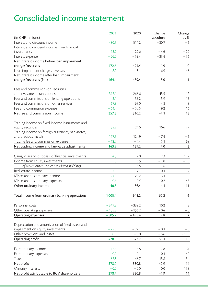## Consolidated income statement

|                                                            | 2021     | 2020     | Change   | Change         |
|------------------------------------------------------------|----------|----------|----------|----------------|
| (in CHF millions)                                          |          |          | absolute | as %           |
| Interest and discount income                               | 480.5    | 511.2    | $-30.7$  | $-6$           |
| Interest and dividend income from financial<br>investments | 18.0     | 22.6     | $-4.6$   | $-20$          |
| Interest expense                                           | $-26.0$  | $-59.4$  | $-33.4$  | $-56$          |
| Net interest income before loan impairment                 |          |          |          |                |
| charges/reversals                                          | 472.6    | 474.4    | $-1.9$   | $-0$           |
| Loan impairment charges/reversals                          | $-8.2$   | $-15.1$  | $-6.9$   | $-46$          |
| Net interest income after loan impairment                  |          |          |          |                |
| charges/reversals (NII)                                    | 464.4    | 459.4    | 5.0      | 1              |
| Fees and commissions on securities                         |          |          |          |                |
| and investment transactions                                | 312.1    | 266.6    | 45.5     | 17             |
| Fees and commissions on lending operations                 | 42.1     | 36.2     | 5.9      | 16             |
| Fees and commissions on other services                     | 67.8     | 63.0     | 4.8      | 8              |
| Fee and commission expense                                 | $-64.7$  | $-55.5$  | 9.2      | 16             |
| Net fee and commission income                              | 357.3    | 310.2    | 47.1     | 15             |
| Trading income on fixed-income instruments and             |          |          |          |                |
| equity securities                                          | 38.2     | 21.6     | 16.6     | 77             |
| Trading income on foreign currencies, banknotes,           |          |          |          |                |
| and precious metals                                        | 117.5    | 124.9    | $-7.4$   | $-6$           |
| Trading fee and commission expense                         | $-12.5$  | $-7.4$   | 5.1      | 69             |
| Net trading income and fair-value adjustments              | 143.2    | 139.2    | 4.0      | 3              |
| Gains/losses on disposals of financial investments         | 4.3      | 2.0      | 2.3      | 117            |
| Income from equity investments                             | 5.5      | 6.5      | $-1.0$   | $-16$          |
| of which other non-consolidated holdings                   | 5.5      | 6.5      | $-1.0$   | $-16$          |
| Real-estate income                                         | 7.0      | 7.1      | $-0.1$   | $-2$           |
| Miscellaneous ordinary income                              | 24.3     | 21.2     | 3.1      | 14             |
| Miscellaneous ordinary expenses                            | $-0.6$   | $-0.4$   | 0.2      | 43             |
| Other ordinary income                                      | 40.5     | 36.4     | 4.1      | 11             |
| Total income from ordinary banking operations              | 1005.4   | 945.2    | 60.2     | 6              |
|                                                            |          |          |          |                |
| Personnel costs                                            | $-349.3$ | $-339.2$ | 10.2     | 3              |
| Other operating expenses                                   | $-155.8$ | $-156.2$ | $-0.4$   | $-0$           |
| Operating expenses                                         | $-505.2$ | $-495.4$ | 9.8      | $\overline{2}$ |
| Depreciation and amortization of fixed assets and          |          |          |          |                |
| impairment on equity investments                           | $-72.0$  | $-72.1$  | $-0.1$   | $-0$           |
| Other provisions and losses                                | 0.6      | $-5.0$   | $-5.6$   | $-113$         |
| Operating profit                                           | 428.8    | 372.7    | 56.1     | 15             |
| Extraordinary income                                       | 12.6     | 4.8      | 7.8      | 161            |
| Extraordinary expenses                                     | $-0.2$   | $-0.1$   | 0.1      | 142            |
| Taxes                                                      | $-62.5$  | $-46.7$  | 15.8     | 34             |
| Net profit                                                 | 378.7    | 330.8    | 47.9     | 14             |
| Minority interests                                         | $-0.0$   | $-0.0$   | 0.0      | 158            |
| Net profit attributable to BCV shareholders                | 378.7    | 330.8    | 47.9     | 14             |
|                                                            |          |          |          |                |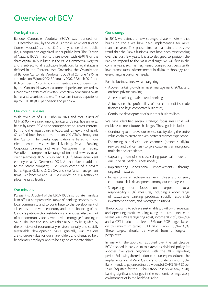## Overview of BCV

#### Our legal status

Banque Cantonale Vaudoise (BCV) was founded on 19 December 1845 by the Vaud Cantonal Parliament (Grand Conseil vaudois) as a société anonyme de droit public (i.e., a corporation organized under public law). The Canton of Vaud is BCV's majority shareholder, with 66.95% of the share capital. BCV is listed in the Vaud Commercial Register and is subject to all applicable legislation. Its legal status is defined in the Cantonal Act Governing the Organization of Banque Cantonale Vaudoise (LBCV) of 20 June 1995, as amended on 25 June 2002, 30 January 2007, 2 March 2010 and 8 December 2020. BCV's commitments are not underwritten by the Canton. However, customer deposits are covered by a nationwide system of investor protection concerning Swiss banks and securities dealers. This system insures deposits of up to CHF 100,000 per person and per bank.

#### Our core businesses

With revenues of CHE 10bn in 2021 and total assets of CHF 55.9bn, we rank among Switzerland's top five universal banks by assets. BCV is the country's second-largest cantonal bank and the largest bank in Vaud, with a network of nearly 60 staffed branches and more than 210 ATMs throughout the Canton. The Bank's organization is based on four client-oriented divisions: Retail Banking, Private Banking, Corporate Banking, and Asset Management & Trading. We offer a comprehensive range of financial services to all client segments. BCV Group had 1,932 full-time-equivalent employees at 31 December 2021. At that date, in addition to the parent company, BCV Group comprised a private bank, Piguet Galland & Cie SA, and two fund management firms, Gérifonds SA and GEP SA (Société pour la gestion de placements collectifs).

#### Our missions

Pursuant to Article 4 of the LBCV, BCV's corporate mandate is to offer a comprehensive range of banking services to the local community and to contribute to the development of all sectors of the Vaud economy and to the financing of the Canton's public-sector institutions and entities. Also, as part of our community focus, we provide mortgage financing in Vaud. The law also stipulates that BCV is to be guided by the principles of economically, environmentally and socially sustainable development. More generally, our missions are to create value for our shareholders and clients, to be a benchmark employer, and to be a good corporate citizen.

#### Our strategy

In 2019, we defined a new strategic phase – *vista* – that builds on those we have been implementing for more than ten years. This phase aims to maintain the positive trend that the Bank's business lines have been experiencing over the past few years. It is also designed to position the Bank to respond to the main challenges we will face in the coming years, such as heightened competition, persistently low interest rates, advancements in digital technology, and ever-changing customer needs.

For the business lines, we are targeting:

- Above-market growth in asset management, SMEs, and onshore private banking;
- At least market growth in retail banking;
- A focus on the profitability of our commodities trade finance and large corporates businesses;
- Continued development of our other business lines.

We have identified several strategic focus areas that will enable us to meet future challenges. These goals include:

- Continuing to improve our service quality along the entire value chain to create an even better customer experience;
- Enhancing our distribution channels (branches, digital services, and call centers) to give customers an integrated multichannel experience;
- Capturing more of the cross-selling potential inherent in our universal bank business model;
- Implementing operational improvements through targeted measures;
- Increasing our attractiveness as an employer and fostering continuous skills development among our employees;
- Sharpening our focus on corporate social responsibility (CSR) measures, including a wider range of sustainable banking products, socially responsible investment options, and mortgage solutions.

The Group aims to achieve sustainable growth, with revenues and operating profit trending along the same lines as in recent years. We are targeting a cost/income ratio of 57%–59% and a CET1 ratio of at least 13%; our ROE target based on this minimum target CET1 ratio is now 13.5%–14.5%. These targets should be viewed from a long-term perspective.

In line with the approach adopted over the last decade, BCV decided in early 2018 to extend its dividend policy for another five years beginning with the 2018 reporting period. Following the reduction in our tax expense due to the implementation of Vaud Canton's corporate tax reform, the Bank intends to pay an ordinary dividend of CHF 3.40–3.80 per share (adjusted for the 10-for-1 stock split on 28 May 2020), barring significant changes in the economic or regulatory environment or in the Bank's situation.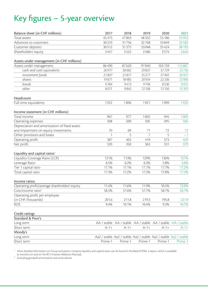## Key figures – 5-year overview

| Balance sheet (in CHF millions)                                               | 2017    | 2018                                                             | 2019           | 2020    | 2021        |
|-------------------------------------------------------------------------------|---------|------------------------------------------------------------------|----------------|---------|-------------|
| Total assets                                                                  | 45415   | 47863                                                            | 48352          | 53 186  | 55952       |
| Advances to customers                                                         | 30233   | 31756                                                            | 32768          | 33849   | 35582       |
| Customer deposits                                                             | 30512   | 31375                                                            | 33048          | 35 4 24 | 38 195      |
| Shareholders' equity                                                          | 3457    | 3522                                                             | 3586           | 3574    | 3644        |
| Assets under management (in CHF millions)                                     |         |                                                                  |                |         |             |
| Assets under management                                                       | 86490   | 87620                                                            | 97840          | 103 159 | 112887      |
| cash and cash equivalents                                                     | 26977   | 28062                                                            | 29837          | 31729   | 33736       |
| investment funds                                                              | 21807   | 21817                                                            | 25 217         | 27402   | 30927       |
| shares                                                                        | 19871   | 18485                                                            | 20934          | 22336   | 23906       |
| <b>honds</b>                                                                  | 9764    | 9413                                                             | 9746           | 8536    | 8925        |
| other                                                                         | 8071    | 9843                                                             | 12 10 6        | 13156   | 15393       |
| Headcount                                                                     |         |                                                                  |                |         |             |
| Full-time equivalents                                                         | 1922    | 1896                                                             | 1921           | 1909    | 1932        |
|                                                                               |         |                                                                  |                |         |             |
| Income statement (in CHF millions)<br>Total income                            | 967     | 977                                                              | 1002           | 945     | 1005        |
|                                                                               | 508     | 500                                                              | 505            | 495     | 505         |
| Operating expenses<br>Depreciation and amortization of fixed assets           |         |                                                                  |                |         |             |
| and impairment on equity investments                                          | 70      | 69                                                               | 71             | 72      | 72          |
| Other provisions and losses                                                   | 1       | 5                                                                | $\overline{7}$ | 5       | $-1$        |
|                                                                               |         |                                                                  |                |         |             |
| Operating profit                                                              | 387     | 403                                                              | 419            | 373     | 429         |
| Net profit                                                                    | 320     | 350                                                              | 363            | 331     | 379         |
| Liquidity and capital ratios $^{\scriptscriptstyle \rm \scriptscriptstyle 1}$ |         |                                                                  |                |         |             |
| Liquidity Coverage Ratio (LCR)                                                | 121%    | 113%                                                             | 129%           | 136%    | 157%        |
| Leverage Ratio                                                                | 6.5%    | 6.2%                                                             | 6.3%           | 5.8%    | 5.6%        |
| Tier 1 capital ratio                                                          | 17.1%   | 17.1%                                                            | 17.1%          | 17.7%   | 17.2%       |
| Total capital ratio                                                           | 17.3%   | 17.2%                                                            | 17.3%          | 17.8%   | 17.3%       |
| Income ratios                                                                 |         |                                                                  |                |         |             |
| Operating profit/average shareholders' equity                                 | 11.4%   | 11.6%                                                            | 11.9%          | 10.5%   | 12.0%       |
| Cost/income ratio <sup>2</sup>                                                | 58.3%   | 57.6%                                                            | 57.7%          | 58.7%   | 56.7%       |
| Operating profit per employee                                                 |         |                                                                  |                |         |             |
| (in CHF thousands)                                                            | 201.6   | 211.8                                                            | 219.3          | 195.8   | 221.9       |
| <b>ROE</b>                                                                    | 9.4%    | 10.1%                                                            | 10.4%          | 9.3%    | 10.7%       |
| Credit ratings                                                                |         |                                                                  |                |         |             |
| Standard & Poor's                                                             |         |                                                                  |                |         |             |
| Long term                                                                     |         | AA / stable AA / stable AA / stable AA / stable                  |                |         | AA / stable |
| Short term                                                                    | $A-1+$  | $A-1+$                                                           | $A-1+$         | $A-1+$  | $A-1+$      |
| Moody's                                                                       |         |                                                                  |                |         |             |
| Long term                                                                     |         | Aa2 / stable Aa2 / stable Aa2 / stable Aa2 / stable Aa2 / stable |                |         |             |
| Short term                                                                    | Prime-1 | Prime-1                                                          | Prime-1        | Prime-1 | Prime-1     |
|                                                                               |         |                                                                  |                |         |             |

1 More detailed information on Group and parent company liquidity and capital ratios can be found in the Basel III Pillar 3 report, which is available at www.bcv.ch and on the BCV Investor Relations iPad app

² Excluding goodwill amortization and write-downs